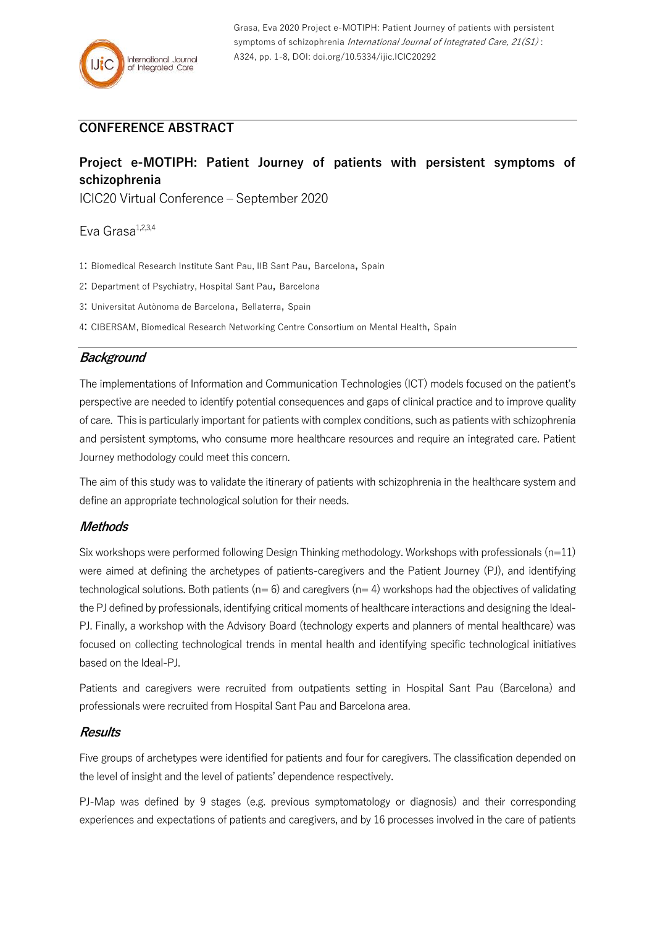## **CONFERENCE ABSTRACT**

# **Project e-MOTIPH: Patient Journey of patients with persistent symptoms of schizophrenia**

ICIC20 Virtual Conference – September 2020

Eva Grasa<sup>1,2,3,4</sup>

- 1: Biomedical Research Institute Sant Pau, IIB Sant Pau, Barcelona, Spain
- 2: Department of Psychiatry, Hospital Sant Pau, Barcelona
- 3: Universitat Autònoma de Barcelona, Bellaterra, Spain
- 4: CIBERSAM, Biomedical Research Networking Centre Consortium on Mental Health, Spain

## **Background**

The implementations of Information and Communication Technologies (ICT) models focused on the patient's perspective are needed to identify potential consequences and gaps of clinical practice and to improve quality of care. This is particularly important for patients with complex conditions, such as patients with schizophrenia and persistent symptoms, who consume more healthcare resources and require an integrated care. Patient Journey methodology could meet this concern.

The aim of this study was to validate the itinerary of patients with schizophrenia in the healthcare system and define an appropriate technological solution for their needs.

## **Methods**

Six workshops were performed following Design Thinking methodology. Workshops with professionals  $(n=11)$ were aimed at defining the archetypes of patients-caregivers and the Patient Journey (PJ), and identifying technological solutions. Both patients ( $n= 6$ ) and caregivers ( $n= 4$ ) workshops had the objectives of validating the PJ defined by professionals, identifying critical moments of healthcare interactions and designing the Ideal-PJ. Finally, a workshop with the Advisory Board (technology experts and planners of mental healthcare) was focused on collecting technological trends in mental health and identifying specific technological initiatives based on the Ideal-PJ.

Patients and caregivers were recruited from outpatients setting in Hospital Sant Pau (Barcelona) and professionals were recruited from Hospital Sant Pau and Barcelona area.

## **Results**

Five groups of archetypes were identified for patients and four for caregivers. The classification depended on the level of insight and the level of patients' dependence respectively.

PJ-Map was defined by 9 stages (e.g. previous symptomatology or diagnosis) and their corresponding experiences and expectations of patients and caregivers, and by 16 processes involved in the care of patients